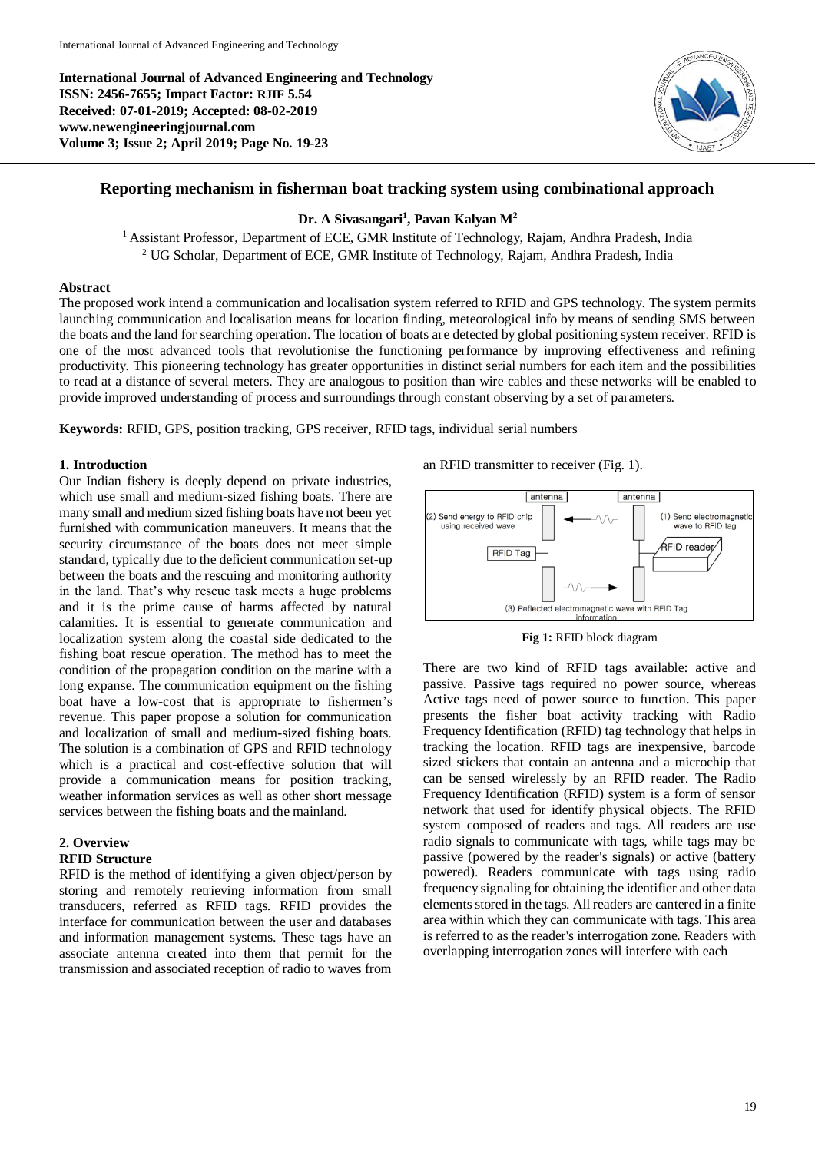**International Journal of Advanced Engineering and Technology ISSN: 2456-7655; Impact Factor: RJIF 5.54 Received: 07-01-2019; Accepted: 08-02-2019 www.newengineeringjournal.com Volume 3; Issue 2; April 2019; Page No. 19-23**



# **Reporting mechanism in fisherman boat tracking system using combinational approach**

# **Dr. A Sivasangari<sup>1</sup> , Pavan Kalyan M<sup>2</sup>**

<sup>1</sup> Assistant Professor, Department of ECE, GMR Institute of Technology, Rajam, Andhra Pradesh, India <sup>2</sup> UG Scholar, Department of ECE, GMR Institute of Technology, Rajam, Andhra Pradesh, India

#### **Abstract**

The proposed work intend a communication and localisation system referred to RFID and GPS technology. The system permits launching communication and localisation means for location finding, meteorological info by means of sending SMS between the boats and the land for searching operation. The location of boats are detected by global positioning system receiver. RFID is one of the most advanced tools that revolutionise the functioning performance by improving effectiveness and refining productivity. This pioneering technology has greater opportunities in distinct serial numbers for each item and the possibilities to read at a distance of several meters. They are analogous to position than wire cables and these networks will be enabled to provide improved understanding of process and surroundings through constant observing by a set of parameters.

**Keywords:** RFID, GPS, position tracking, GPS receiver, RFID tags, individual serial numbers

## **1. Introduction**

Our Indian fishery is deeply depend on private industries, which use small and medium-sized fishing boats. There are many small and medium sized fishing boats have not been yet furnished with communication maneuvers. It means that the security circumstance of the boats does not meet simple standard, typically due to the deficient communication set-up between the boats and the rescuing and monitoring authority in the land. That's why rescue task meets a huge problems and it is the prime cause of harms affected by natural calamities. It is essential to generate communication and localization system along the coastal side dedicated to the fishing boat rescue operation. The method has to meet the condition of the propagation condition on the marine with a long expanse. The communication equipment on the fishing boat have a low-cost that is appropriate to fishermen's revenue. This paper propose a solution for communication and localization of small and medium-sized fishing boats. The solution is a combination of GPS and RFID technology which is a practical and cost-effective solution that will provide a communication means for position tracking, weather information services as well as other short message services between the fishing boats and the mainland.

# **2. Overview**

#### **RFID Structure**

RFID is the method of identifying a given object/person by storing and remotely retrieving information from small transducers, referred as RFID tags. RFID provides the interface for communication between the user and databases and information management systems. These tags have an associate antenna created into them that permit for the transmission and associated reception of radio to waves from

an RFID transmitter to receiver (Fig. 1).





There are two kind of RFID tags available: active and passive. Passive tags required no power source, whereas Active tags need of power source to function. This paper presents the fisher boat activity tracking with Radio Frequency Identification (RFID) tag technology that helps in tracking the location. RFID tags are inexpensive, barcode sized stickers that contain an antenna and a microchip that can be sensed wirelessly by an RFID reader. The Radio Frequency Identification (RFID) system is a form of sensor network that used for identify physical objects. The RFID system composed of readers and tags. All readers are use radio signals to communicate with tags, while tags may be passive (powered by the reader's signals) or active (battery powered). Readers communicate with tags using radio frequency signaling for obtaining the identifier and other data elements stored in the tags. All readers are cantered in a finite area within which they can communicate with tags. This area is referred to as the reader's interrogation zone. Readers with overlapping interrogation zones will interfere with each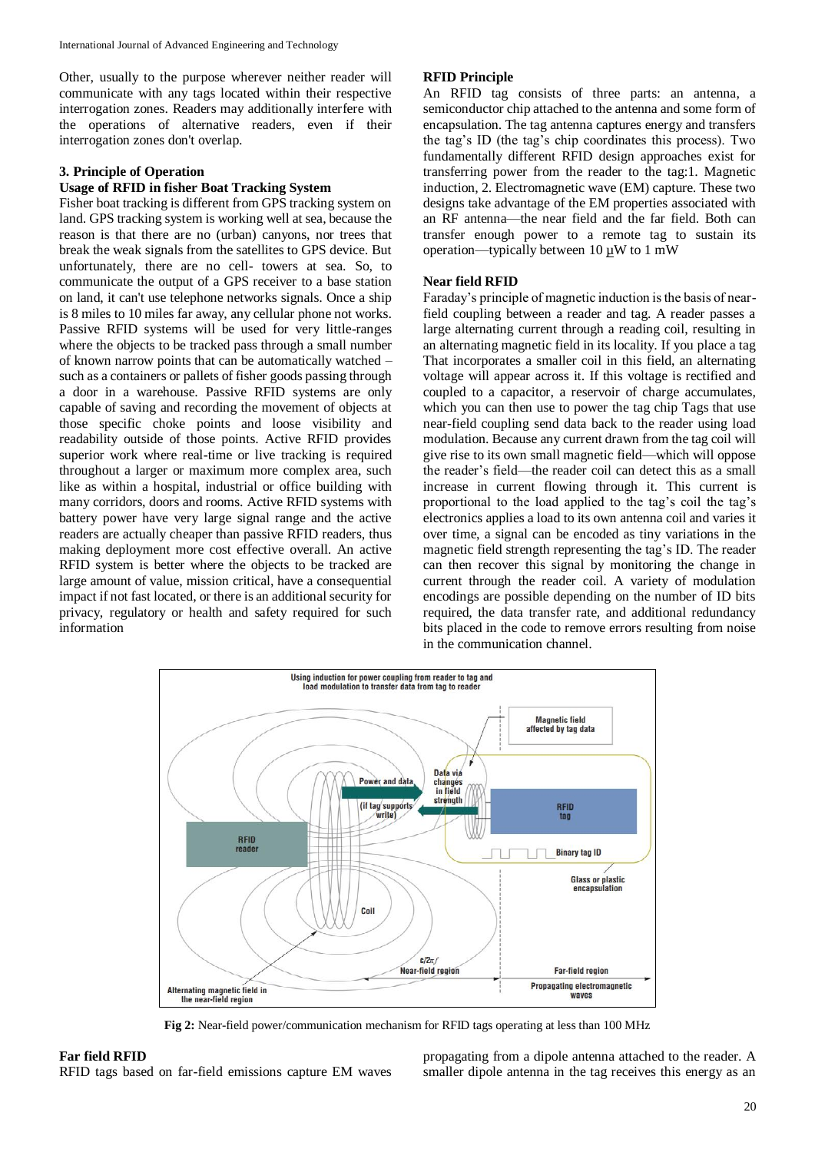Other, usually to the purpose wherever neither reader will communicate with any tags located within their respective interrogation zones. Readers may additionally interfere with the operations of alternative readers, even if their interrogation zones don't overlap.

# **3. Principle of Operation**

# **Usage of RFID in fisher Boat Tracking System**

Fisher boat tracking is different from GPS tracking system on land. GPS tracking system is working well at sea, because the reason is that there are no (urban) canyons, nor trees that break the weak signals from the satellites to GPS device. But unfortunately, there are no cell- towers at sea. So, to communicate the output of a GPS receiver to a base station on land, it can't use telephone networks signals. Once a ship is 8 miles to 10 miles far away, any cellular phone not works. Passive RFID systems will be used for very little-ranges where the objects to be tracked pass through a small number of known narrow points that can be automatically watched – such as a containers or pallets of fisher goods passing through a door in a warehouse. Passive RFID systems are only capable of saving and recording the movement of objects at those specific choke points and loose visibility and readability outside of those points. Active RFID provides superior work where real-time or live tracking is required throughout a larger or maximum more complex area, such like as within a hospital, industrial or office building with many corridors, doors and rooms. Active RFID systems with battery power have very large signal range and the active readers are actually cheaper than passive RFID readers, thus making deployment more cost effective overall. An active RFID system is better where the objects to be tracked are large amount of value, mission critical, have a consequential impact if not fast located, or there is an additional security for privacy, regulatory or health and safety required for such information

#### **RFID Principle**

An RFID tag consists of three parts: an antenna, a semiconductor chip attached to the antenna and some form of encapsulation. The tag antenna captures energy and transfers the tag's ID (the tag's chip coordinates this process). Two fundamentally different RFID design approaches exist for transferring power from the reader to the tag:1. Magnetic induction, 2. Electromagnetic wave (EM) capture. These two designs take advantage of the EM properties associated with an RF antenna—the near field and the far field. Both can transfer enough power to a remote tag to sustain its operation—typically between 10 µW to 1 mW

# **Near field RFID**

Faraday's principle of magnetic induction is the basis of nearfield coupling between a reader and tag. A reader passes a large alternating current through a reading coil, resulting in an alternating magnetic field in its locality. If you place a tag That incorporates a smaller coil in this field, an alternating voltage will appear across it. If this voltage is rectified and coupled to a capacitor, a reservoir of charge accumulates, which you can then use to power the tag chip Tags that use near-field coupling send data back to the reader using load modulation. Because any current drawn from the tag coil will give rise to its own small magnetic field—which will oppose the reader's field—the reader coil can detect this as a small increase in current flowing through it. This current is proportional to the load applied to the tag's coil the tag's electronics applies a load to its own antenna coil and varies it over time, a signal can be encoded as tiny variations in the magnetic field strength representing the tag's ID. The reader can then recover this signal by monitoring the change in current through the reader coil. A variety of modulation encodings are possible depending on the number of ID bits required, the data transfer rate, and additional redundancy bits placed in the code to remove errors resulting from noise in the communication channel.



**Fig 2:** Near-field power/communication mechanism for RFID tags operating at less than 100 MHz

propagating from a dipole antenna attached to the reader. A smaller dipole antenna in the tag receives this energy as an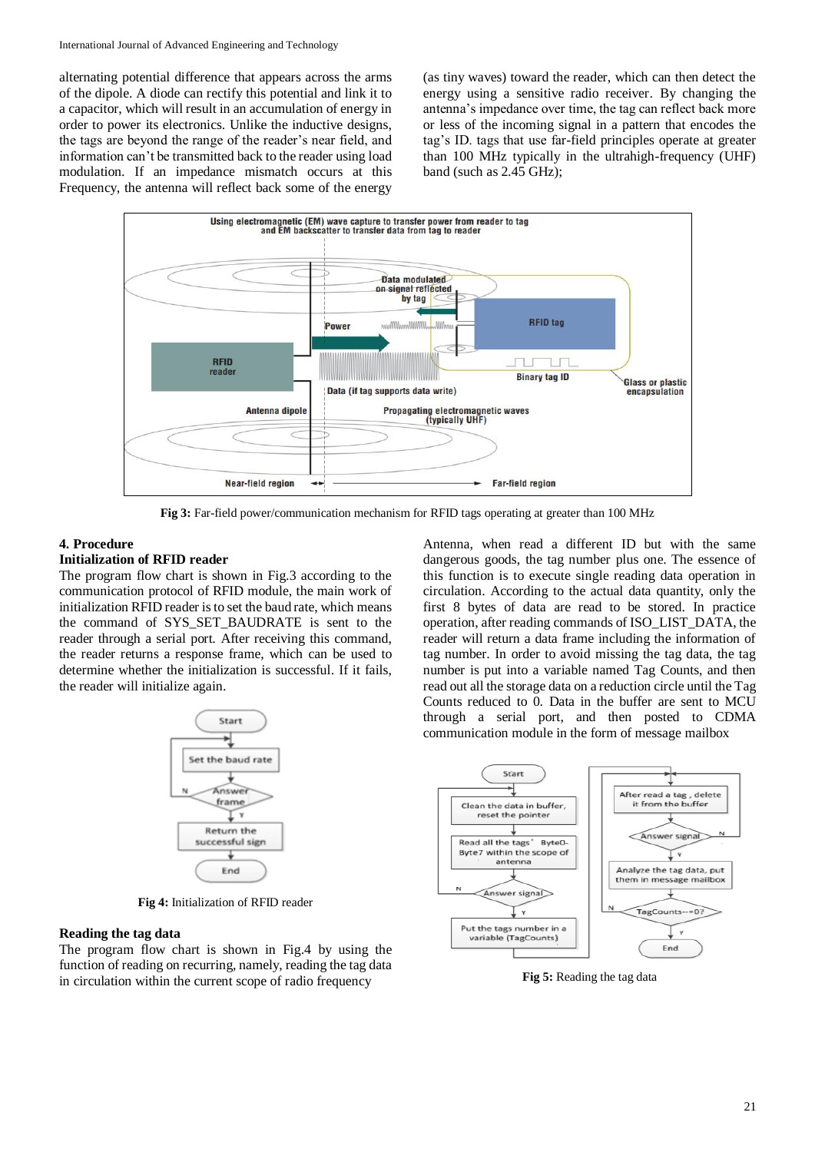alternating potential difference that appears across the arms of the dipole. A diode can rectify this potential and link it to a capacitor, which will result in an accumulation of energy in order to power its electronics. Unlike the inductive designs, the tags are beyond the range of the reader's near field, and information can't be transmitted back to the reader using load modulation. If an impedance mismatch occurs at this Frequency, the antenna will reflect back some of the energy

(as tiny waves) toward the reader, which can then detect the energy using a sensitive radio receiver. By changing the antenna's impedance over time, the tag can reflect back more or less of the incoming signal in a pattern that encodes the tag's ID. tags that use far-field principles operate at greater than 100 MHz typically in the ultrahigh-frequency (UHF) band (such as 2.45 GHz);



**Fig 3:** Far-field power/communication mechanism for RFID tags operating at greater than 100 MHz

#### **4. Procedure**

# **Initialization of RFID reader**

The program flow chart is shown in Fig.3 according to the communication protocol of RFID module, the main work of initialization RFID reader is to set the baud rate, which means the command of SYS\_SET\_BAUDRATE is sent to the reader through a serial port. After receiving this command, the reader returns a response frame, which can be used to determine whether the initialization is successful. If it fails, the reader will initialize again.



**Fig 4:** Initialization of RFID reader

## **Reading the tag data**

The program flow chart is shown in Fig.4 by using the function of reading on recurring, namely, reading the tag data in circulation within the current scope of radio frequency

Antenna, when read a different ID but with the same dangerous goods, the tag number plus one. The essence of this function is to execute single reading data operation in circulation. According to the actual data quantity, only the first 8 bytes of data are read to be stored. In practice operation, after reading commands of ISO\_LIST\_DATA, the reader will return a data frame including the information of tag number. In order to avoid missing the tag data, the tag number is put into a variable named Tag Counts, and then read out all the storage data on a reduction circle until the Tag Counts reduced to 0. Data in the buffer are sent to MCU through a serial port, and then posted to CDMA communication module in the form of message mailbox



**Fig 5:** Reading the tag data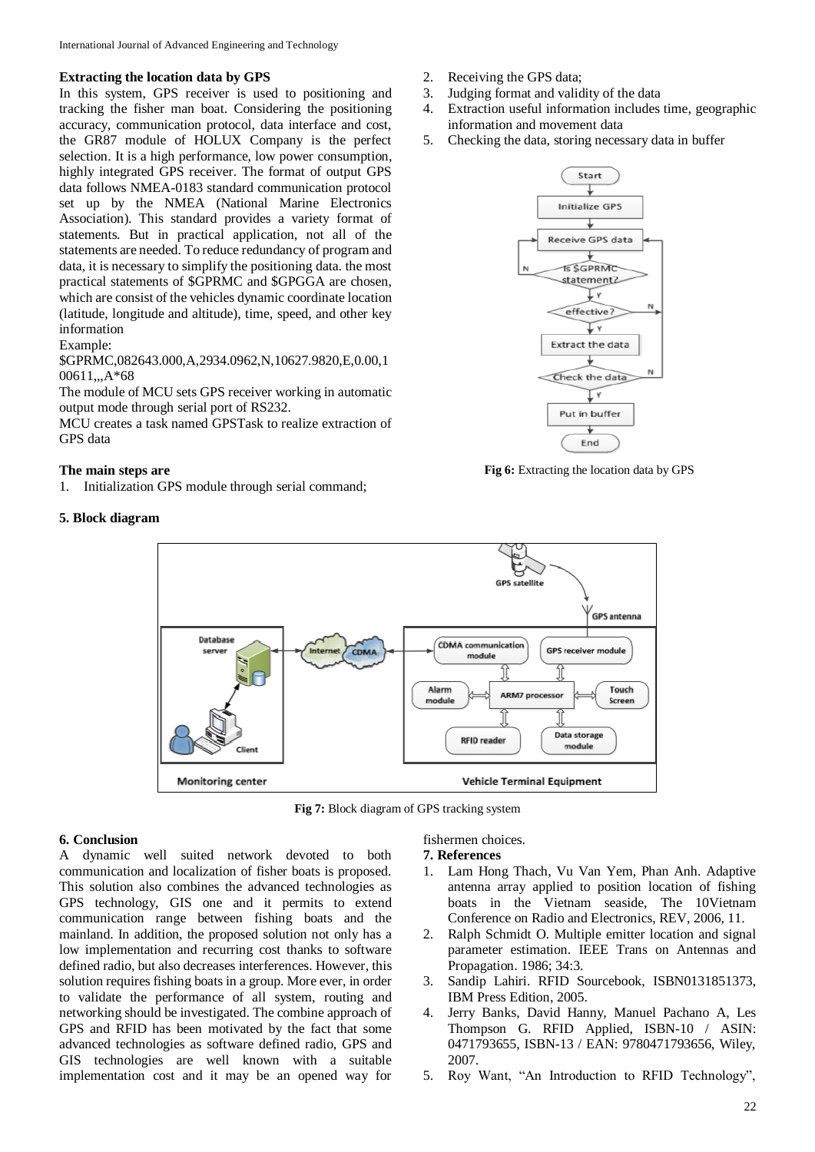#### **Extracting the location data by GPS**

In this system, GPS receiver is used to positioning and tracking the fisher man boat. Considering the positioning accuracy, communication protocol, data interface and cost, the GR87 module of HOLUX Company is the perfect selection. It is a high performance, low power consumption, highly integrated GPS receiver. The format of output GPS data follows NMEA-0183 standard communication protocol set up by the NMEA (National Marine Electronics Association). This standard provides a variety format of statements. But in practical application, not all of the statements are needed. To reduce redundancy of program and data, it is necessary to simplify the positioning data. the most practical statements of \$GPRMC and \$GPGGA are chosen, which are consist of the vehicles dynamic coordinate location (latitude, longitude and altitude), time, speed, and other key information

## Example:

\$GPRMC,082643.000,A,2934.0962,N,10627.9820,E,0.00,1 00611,,,A\*68

The module of MCU sets GPS receiver working in automatic output mode through serial port of RS232.

MCU creates a task named GPSTask to realize extraction of GPS data

#### **The main steps are**

1. Initialization GPS module through serial command;

## **5. Block diagram**



- 3. Judging format and validity of the data
- 4. Extraction useful information includes time, geographic information and movement data
- 5. Checking the data, storing necessary data in buffer



**Fig 6:** Extracting the location data by GPS



**Fig 7:** Block diagram of GPS tracking system

# **6. Conclusion**

A dynamic well suited network devoted to both communication and localization of fisher boats is proposed. This solution also combines the advanced technologies as GPS technology, GIS one and it permits to extend communication range between fishing boats and the mainland. In addition, the proposed solution not only has a low implementation and recurring cost thanks to software defined radio, but also decreases interferences. However, this solution requires fishing boats in a group. More ever, in order to validate the performance of all system, routing and networking should be investigated. The combine approach of GPS and RFID has been motivated by the fact that some advanced technologies as software defined radio, GPS and GIS technologies are well known with a suitable implementation cost and it may be an opened way for

# fishermen choices.

**7. References**

- 1. Lam Hong Thach, Vu Van Yem, Phan Anh. Adaptive antenna array applied to position location of fishing boats in the Vietnam seaside, The 10Vietnam Conference on Radio and Electronics, REV, 2006, 11.
- 2. Ralph Schmidt O. Multiple emitter location and signal parameter estimation. IEEE Trans on Antennas and Propagation. 1986; 34:3.
- 3. Sandip Lahiri. RFID Sourcebook, ISBN0131851373, IBM Press Edition, 2005.
- 4. Jerry Banks, David Hanny, Manuel Pachano A, Les Thompson G. RFID Applied, ISBN-10 / ASIN: 0471793655, ISBN-13 / EAN: 9780471793656, Wiley, 2007.
- 5. Roy Want, "An Introduction to RFID Technology",